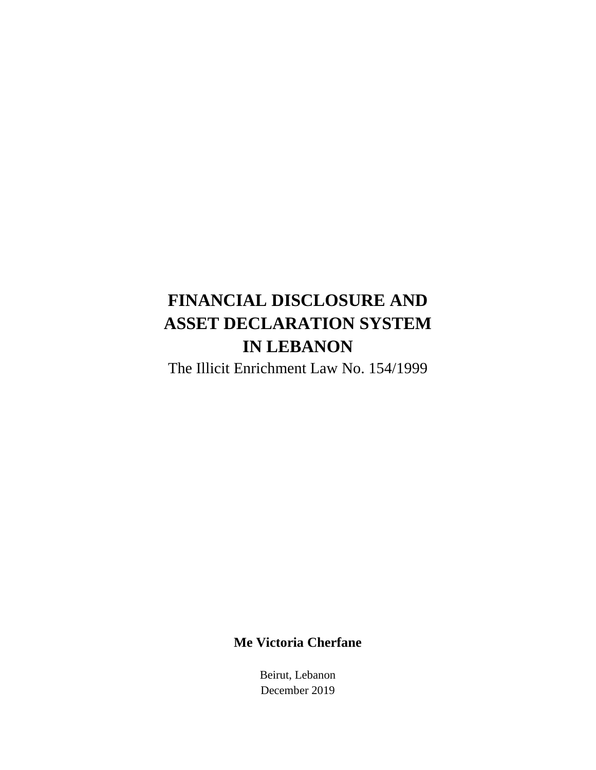# **FINANCIAL DISCLOSURE AND ASSET DECLARATION SYSTEM IN LEBANON**

The Illicit Enrichment Law No. 154/1999

#### **Me Victoria Cherfane**

Beirut, Lebanon December 2019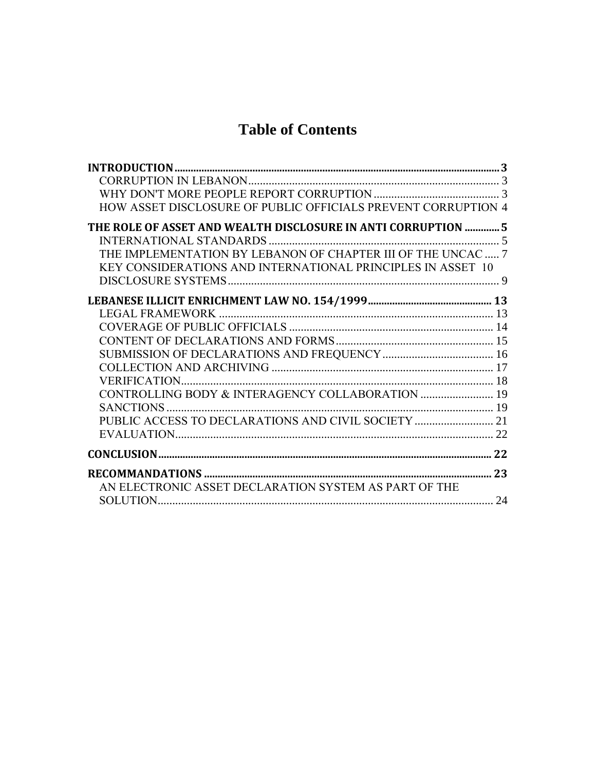# **Table of Contents**

| HOW ASSET DISCLOSURE OF PUBLIC OFFICIALS PREVENT CORRUPTION 4 |  |
|---------------------------------------------------------------|--|
| THE ROLE OF ASSET AND WEALTH DISCLOSURE IN ANTI CORRUPTION  5 |  |
|                                                               |  |
| THE IMPLEMENTATION BY LEBANON OF CHAPTER III OF THE UNCAC  7  |  |
| KEY CONSIDERATIONS AND INTERNATIONAL PRINCIPLES IN ASSET 10   |  |
|                                                               |  |
|                                                               |  |
|                                                               |  |
|                                                               |  |
|                                                               |  |
|                                                               |  |
|                                                               |  |
|                                                               |  |
| CONTROLLING BODY & INTERAGENCY COLLABORATION  19              |  |
|                                                               |  |
|                                                               |  |
|                                                               |  |
|                                                               |  |
|                                                               |  |
| AN ELECTRONIC ASSET DECLARATION SYSTEM AS PART OF THE         |  |
|                                                               |  |
|                                                               |  |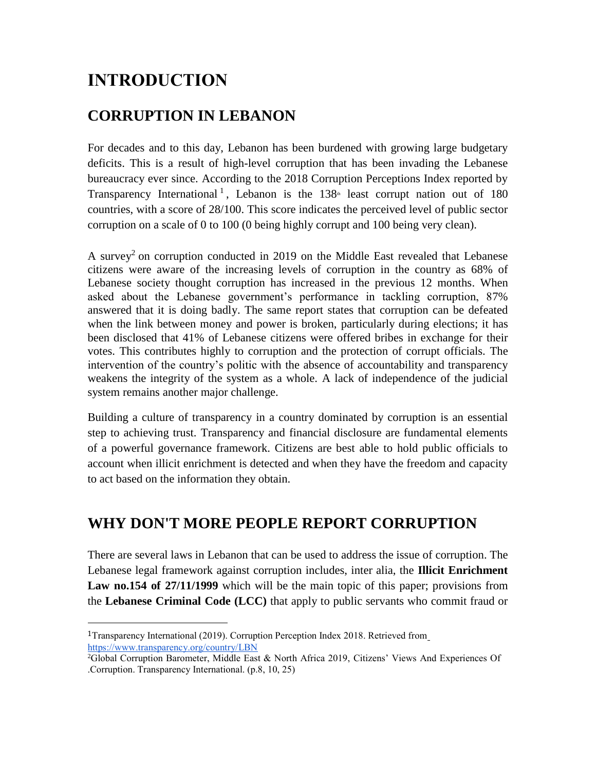# **INTRODUCTION**

## **CORRUPTION IN LEBANON**

For decades and to this day, Lebanon has been burdened with growing large budgetary deficits. This is a result of high-level corruption that has been invading the Lebanese bureaucracy ever since. According to the 2018 Corruption Perceptions Index reported by Transparency International<sup>1</sup>, Lebanon is the  $138<sup>a</sup>$  least corrupt nation out of 180 countries, with a score of 28/100. This score indicates the perceived level of public sector corruption on a scale of 0 to 100 (0 being highly corrupt and 100 being very clean).

A survey<sup>2</sup> on corruption conducted in 2019 on the Middle East revealed that Lebanese citizens were aware of the increasing levels of corruption in the country as 68% of Lebanese society thought corruption has increased in the previous 12 months. When asked about the Lebanese government's performance in tackling corruption, 87% answered that it is doing badly. The same report states that corruption can be defeated when the link between money and power is broken, particularly during elections; it has been disclosed that 41% of Lebanese citizens were offered bribes in exchange for their votes. This contributes highly to corruption and the protection of corrupt officials. The intervention of the country's politic with the absence of accountability and transparency weakens the integrity of the system as a whole. A lack of independence of the judicial system remains another major challenge.

Building a culture of transparency in a country dominated by corruption is an essential step to achieving trust. Transparency and financial disclosure are fundamental elements of a powerful governance framework. Citizens are best able to hold public officials to account when illicit enrichment is detected and when they have the freedom and capacity to act based on the information they obtain.

#### **WHY DON'T MORE PEOPLE REPORT CORRUPTION**

There are several laws in Lebanon that can be used to address the issue of corruption. The Lebanese legal framework against corruption includes, inter alia, the **Illicit Enrichment**  Law no.154 of 27/11/1999 which will be the main topic of this paper; provisions from the **Lebanese Criminal Code (LCC)** that apply to public servants who commit fraud or

<sup>1</sup>Transparency International (2019). Corruption Perception Index 2018. Retrieved fro[m](https://www.transparency.org/country/LBN) <https://www.transparency.org/country/LBN>

<sup>&</sup>lt;sup>2</sup>Global Corruption Barometer, Middle East & North Africa 2019, Citizens' Views And Experiences Of .Corruption. Transparency International. (p.8, 10, 25)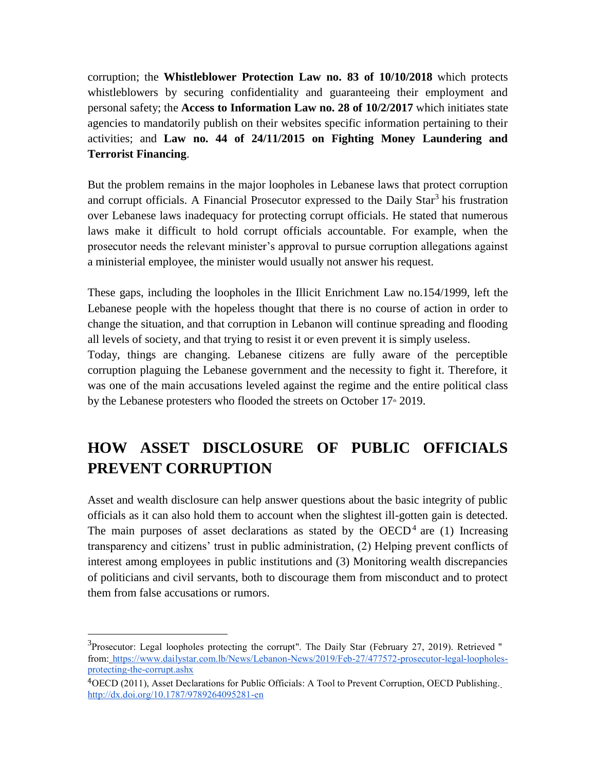corruption; the **Whistleblower Protection Law no. 83 of 10/10/2018** which protects whistleblowers by securing confidentiality and guaranteeing their employment and personal safety; the **Access to Information Law no. 28 of 10/2/2017** which initiates state agencies to mandatorily publish on their websites specific information pertaining to their activities; and **Law no. 44 of 24/11/2015 on Fighting Money Laundering and Terrorist Financing**.

But the problem remains in the major loopholes in Lebanese laws that protect corruption and corrupt officials. A Financial Prosecutor expressed to the Daily Star<sup>3</sup> his frustration over Lebanese laws inadequacy for protecting corrupt officials. He stated that numerous laws make it difficult to hold corrupt officials accountable. For example, when the prosecutor needs the relevant minister's approval to pursue corruption allegations against a ministerial employee, the minister would usually not answer his request.

These gaps, including the loopholes in the Illicit Enrichment Law no.154/1999, left the Lebanese people with the hopeless thought that there is no course of action in order to change the situation, and that corruption in Lebanon will continue spreading and flooding all levels of society, and that trying to resist it or even prevent it is simply useless.

Today, things are changing. Lebanese citizens are fully aware of the perceptible corruption plaguing the Lebanese government and the necessity to fight it. Therefore, it was one of the main accusations leveled against the regime and the entire political class by the Lebanese protesters who flooded the streets on October 17<sup>th</sup> 2019.

# **HOW ASSET DISCLOSURE OF PUBLIC OFFICIALS PREVENT CORRUPTION**

Asset and wealth disclosure can help answer questions about the basic integrity of public officials as it can also hold them to account when the slightest ill-gotten gain is detected. The main purposes of asset declarations as stated by the OECD<sup>4</sup> are  $(1)$  Increasing transparency and citizens' trust in public administration, (2) Helping prevent conflicts of interest among employees in public institutions and (3) Monitoring wealth discrepancies of politicians and civil servants, both to discourage them from misconduct and to protect them from false accusations or rumors.

 $3$ Prosecutor: Legal loopholes protecting the corrupt". The Daily Star (February 27, 2019). Retrieved " from: [https://www.dailystar.com.lb/News/Lebanon-News/2019/Feb-27/477572-prosecutor-legal-loopholes](https://www.dailystar.com.lb/News/Lebanon-News/2019/Feb-27/477572-prosecutor-legal-loopholes-protecting-the-corrupt.ashx)[protecting-the-corrupt.ashx](https://www.dailystar.com.lb/News/Lebanon-News/2019/Feb-27/477572-prosecutor-legal-loopholes-protecting-the-corrupt.ashx)

<sup>4</sup>OECD (2011), Asset Declarations for Public Officials: A Tool to Prevent Corruption, OECD Publishing[.](http://dx.doi.org/10.1787/9789264095281-en) <http://dx.doi.org/10.1787/9789264095281-en>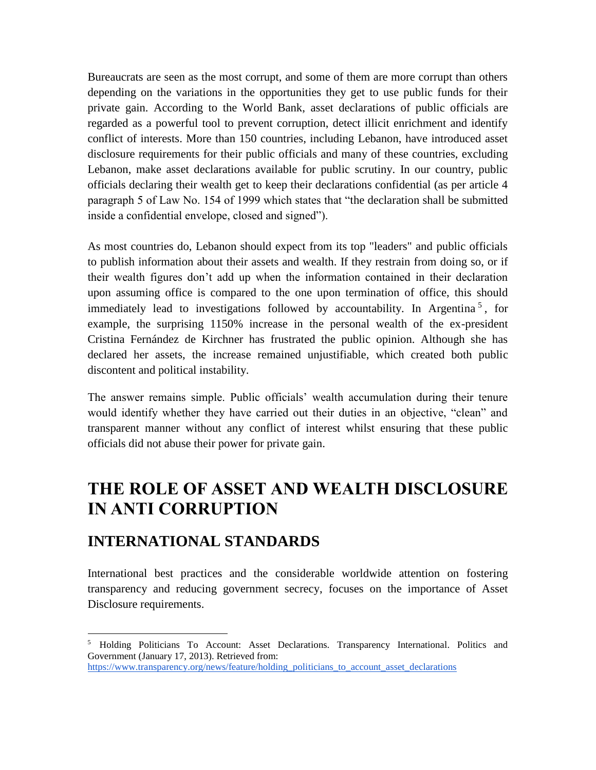Bureaucrats are seen as the most corrupt, and some of them are more corrupt than others depending on the variations in the opportunities they get to use public funds for their private gain. According to the World Bank, asset declarations of public officials are regarded as a powerful tool to prevent corruption, detect illicit enrichment and identify conflict of interests. More than 150 countries, including Lebanon, have introduced asset disclosure requirements for their public officials and many of these countries, excluding Lebanon, make asset declarations available for public scrutiny. In our country, public officials declaring their wealth get to keep their declarations confidential (as per article 4 paragraph 5 of Law No. 154 of 1999 which states that "the declaration shall be submitted inside a confidential envelope, closed and signed").

As most countries do, Lebanon should expect from its top "leaders" and public officials to publish information about their assets and wealth. If they restrain from doing so, or if their wealth figures don't add up when the information contained in their declaration upon assuming office is compared to the one upon termination of office, this should immediately lead to investigations followed by accountability. In Argentina<sup>5</sup>, for example, the surprising 1150% increase in the personal wealth of the ex-president Cristina Fernández de Kirchner has frustrated the public opinion. Although she has declared her assets, the increase remained unjustifiable, which created both public discontent and political instability.

The answer remains simple. Public officials' wealth accumulation during their tenure would identify whether they have carried out their duties in an objective, "clean" and transparent manner without any conflict of interest whilst ensuring that these public officials did not abuse their power for private gain.

# **THE ROLE OF ASSET AND WEALTH DISCLOSURE IN ANTI CORRUPTION**

#### **INTERNATIONAL STANDARDS**

l

International best practices and the considerable worldwide attention on fostering transparency and reducing government secrecy, focuses on the importance of Asset Disclosure requirements.

<sup>&</sup>lt;sup>5</sup> Holding Politicians To Account: Asset Declarations. Transparency International. Politics and Government (January 17, 2013). Retrieved from: [https://www.transparency.org/news/feature/holding\\_politicians\\_to\\_account\\_asset\\_declarations](https://www.transparency.org/news/feature/holding_politicians_to_account_asset_declarations)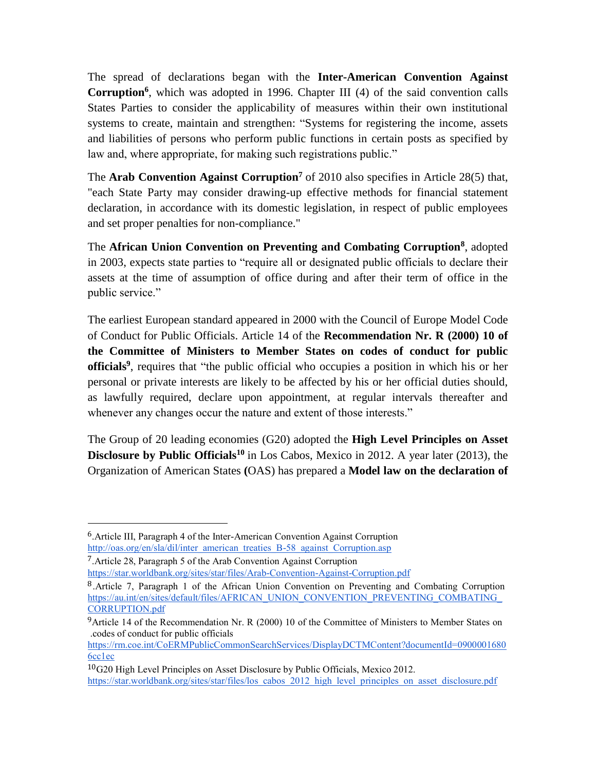The spread of declarations began with the **Inter-American Convention Against Corruption<sup>6</sup>** , which was adopted in 1996. Chapter III (4) of the said convention calls States Parties to consider the applicability of measures within their own institutional systems to create, maintain and strengthen: "Systems for registering the income, assets and liabilities of persons who perform public functions in certain posts as specified by law and, where appropriate, for making such registrations public."

The **Arab Convention Against Corruption<sup>7</sup>** of 2010 also specifies in Article 28(5) that, "each State Party may consider drawing-up effective methods for financial statement declaration, in accordance with its domestic legislation, in respect of public employees and set proper penalties for non-compliance."

The **African Union Convention on Preventing and Combating Corruption<sup>8</sup>** , adopted in 2003, expects state parties to "require all or designated public officials to declare their assets at the time of assumption of office during and after their term of office in the public service."

The earliest European standard appeared in 2000 with the Council of Europe Model Code of Conduct for Public Officials. Article 14 of the **Recommendation Nr. R (2000) 10 of the Committee of Ministers to Member States on codes of conduct for public officials<sup>9</sup>** , requires that "the public official who occupies a position in which his or her personal or private interests are likely to be affected by his or her official duties should, as lawfully required, declare upon appointment, at regular intervals thereafter and whenever any changes occur the nature and extent of those interests."

The Group of 20 leading economies (G20) adopted the **High Level Principles on Asset Disclosure by Public Officials<sup>10</sup>** in Los Cabos, Mexico in 2012. A year later (2013), the Organization of American States **(**OAS) has prepared a **Model law on the declaration of**

<sup>6</sup>.Article III, Paragraph 4 of the Inter-American Convention Against Corruption [http://oas.org/en/sla/dil/inter\\_american\\_treaties\\_B-58\\_against\\_Corruption.asp](http://oas.org/en/sla/dil/inter_american_treaties_B-58_against_Corruption.asp)

<sup>7</sup>.Article 28, Paragraph 5 of the Arab Convention Against Corruption

<https://star.worldbank.org/sites/star/files/Arab-Convention-Against-Corruption.pdf>

<sup>8</sup>.Article 7, Paragraph 1 of the African Union Convention on Preventing and Combating Corruption [https://au.int/en/sites/default/files/AFRICAN\\_UNION\\_CONVENTION\\_PREVENTING\\_COMBATING\\_](https://au.int/en/sites/default/files/AFRICAN_UNION_CONVENTION_PREVENTING_COMBATING_CORRUPTION.pdf) [CORRUPTION.pdf](https://au.int/en/sites/default/files/AFRICAN_UNION_CONVENTION_PREVENTING_COMBATING_CORRUPTION.pdf)

<sup>&</sup>lt;sup>9</sup>Article 14 of the Recommendation Nr. R (2000) 10 of the Committee of Ministers to Member States on .codes of conduct for public officials

[https://rm.coe.int/CoERMPublicCommonSearchServices/DisplayDCTMContent?documentId=0900001680](https://rm.coe.int/CoERMPublicCommonSearchServices/DisplayDCTMContent?documentId=09000016806cc1ec) [6cc1ec](https://rm.coe.int/CoERMPublicCommonSearchServices/DisplayDCTMContent?documentId=09000016806cc1ec)

<sup>10</sup>G20 High Level Principles on Asset Disclosure by Public Officials, Mexico 2012. [https://star.worldbank.org/sites/star/files/los\\_cabos\\_2012\\_high\\_level\\_principles\\_on\\_asset\\_disclosure.pdf](https://star.worldbank.org/sites/star/files/los_cabos_2012_high_level_principles_on_asset_disclosure.pdf)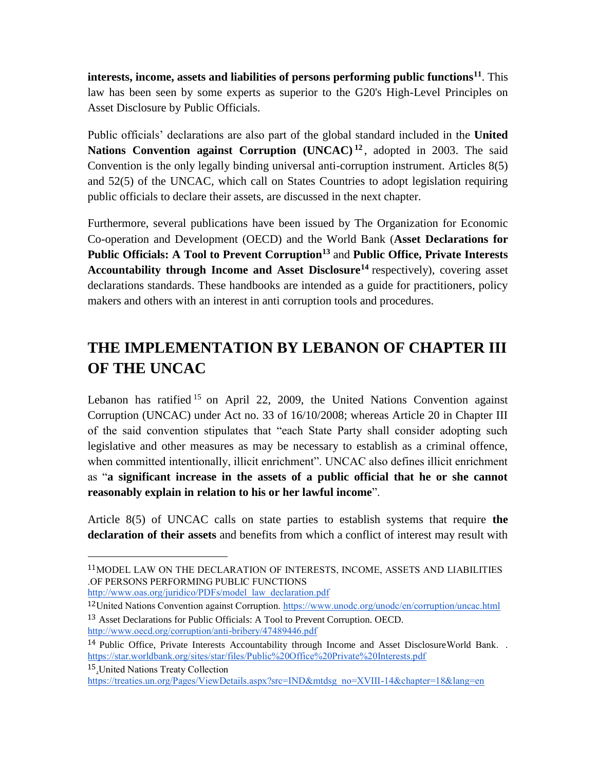**interests, income, assets and liabilities of persons performing public functions<sup>11</sup>**. This law has been seen by some experts as superior to the G20's High-Level Principles on Asset Disclosure by Public Officials.

Public officials' declarations are also part of the global standard included in the **United**  Nations Convention against Corruption (UNCAC)<sup>12</sup>, adopted in 2003. The said Convention is the only legally binding universal anti-corruption instrument. Articles 8(5) and 52(5) of the UNCAC, which call on States Countries to adopt legislation requiring public officials to declare their assets, are discussed in the next chapter.

Furthermore, several publications have been issued by The Organization for Economic Co-operation and Development (OECD) and the World Bank (**Asset Declarations for Public Officials: A Tool to Prevent Corruption<sup>13</sup>** and **Public Office, Private Interests Accountability through Income and Asset Disclosure<sup>14</sup>** respectively), covering asset declarations standards. These handbooks are intended as a guide for practitioners, policy makers and others with an interest in anti corruption tools and procedures.

# **THE IMPLEMENTATION BY LEBANON OF CHAPTER III OF THE UNCAC**

Lebanon has ratified  $15$  on April 22, 2009, the United Nations Convention against Corruption (UNCAC) under Act no. 33 of 16/10/2008; whereas Article 20 in Chapter III of the said convention stipulates that "each State Party shall consider adopting such legislative and other measures as may be necessary to establish as a criminal offence, when committed intentionally, illicit enrichment". UNCAC also defines illicit enrichment as "**a significant increase in the assets of a public official that he or she cannot reasonably explain in relation to his or her lawful income**".

Article 8(5) of UNCAC calls on state parties to establish systems that require **the declaration of their assets** and benefits from which a conflict of interest may result with

15[.U](https://treaties.un.org/Pages/ViewDetails.aspx?src=IND&mtdsg_no=XVIII-14&chapter=18&lang=en)nited Nations Treaty Collectio[n](https://treaties.un.org/Pages/ViewDetails.aspx?src=IND&mtdsg_no=XVIII-14&chapter=18&lang=en)

<sup>11</sup>MODEL LAW ON THE DECLARATION OF INTERESTS, INCOME, ASSETS AND LIABILITIES .OF PERSONS PERFORMING PUBLIC FUNCTIONS

[http://www.oas.org/juridico/PDFs/model\\_law\\_declaration.pdf](http://www.oas.org/juridico/PDFs/model_law_declaration.pdf)

<sup>12</sup>United Nations Convention against Corruption.<https://www.unodc.org/unodc/en/corruption/uncac.html> 13 Asset Declarations for Public Officials: A Tool to Prevent Corruption. OECD. <http://www.oecd.org/corruption/anti-bribery/47489446.pdf>

<sup>14</sup> Public Office, Private Interests Accountability through Income and Asset DisclosureWorld Bank. . <https://star.worldbank.org/sites/star/files/Public%20Office%20Private%20Interests.pdf>

[https://treaties.un.org/Pages/ViewDetails.aspx?src=IND&mtdsg\\_no=XVIII-14&chapter=18&lang=en](https://treaties.un.org/Pages/ViewDetails.aspx?src=IND&mtdsg_no=XVIII-14&chapter=18&lang=en)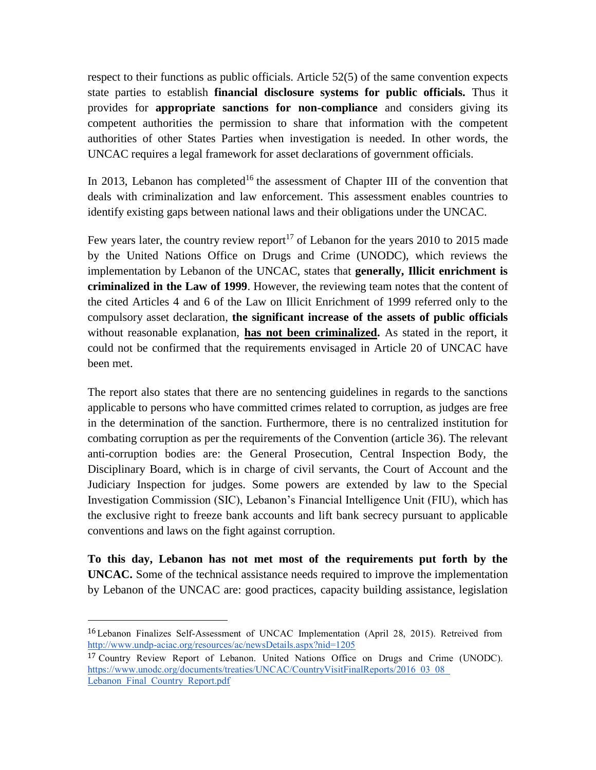respect to their functions as public officials. Article 52(5) of the same convention expects state parties to establish **financial disclosure systems for public officials.** Thus it provides for **appropriate sanctions for non-compliance** and considers giving its competent authorities the permission to share that information with the competent authorities of other States Parties when investigation is needed. In other words, the UNCAC requires a legal framework for asset declarations of government officials.

In 2013, Lebanon has completed<sup>16</sup> the assessment of Chapter III of the convention that deals with criminalization and law enforcement. This assessment enables countries to identify existing gaps between national laws and their obligations under the UNCAC.

Few years later, the country review report<sup>17</sup> of Lebanon for the years 2010 to 2015 made by the United Nations Office on Drugs and Crime (UNODC), which reviews the implementation by Lebanon of the UNCAC, states that **generally, Illicit enrichment is criminalized in the Law of 1999**. However, the reviewing team notes that the content of the cited Articles 4 and 6 of the Law on Illicit Enrichment of 1999 referred only to the compulsory asset declaration, **the significant increase of the assets of public officials**  without reasonable explanation, **has not been criminalized.** As stated in the report, it could not be confirmed that the requirements envisaged in Article 20 of UNCAC have been met.

The report also states that there are no sentencing guidelines in regards to the sanctions applicable to persons who have committed crimes related to corruption, as judges are free in the determination of the sanction. Furthermore, there is no centralized institution for combating corruption as per the requirements of the Convention (article 36). The relevant anti-corruption bodies are: the General Prosecution, Central Inspection Body, the Disciplinary Board, which is in charge of civil servants, the Court of Account and the Judiciary Inspection for judges. Some powers are extended by law to the Special Investigation Commission (SIC), Lebanon's Financial Intelligence Unit (FIU), which has the exclusive right to freeze bank accounts and lift bank secrecy pursuant to applicable conventions and laws on the fight against corruption.

**To this day, Lebanon has not met most of the requirements put forth by the UNCAC.** Some of the technical assistance needs required to improve the implementation by Lebanon of the UNCAC are: good practices, capacity building assistance, legislation

<sup>16</sup>Lebanon Finalizes Self-Assessment of UNCAC Implementation (April 28, 2015). Retreived from <http://www.undp-aciac.org/resources/ac/newsDetails.aspx?nid=1205>

<sup>17</sup> Country Review Report of Lebanon. United Nations Office on Drugs and Crime (UNODC). [https://www.unodc.org/documents/treaties/UNCAC/CountryVisitFinalReports/2016\\_03\\_08\\_](https://www.unodc.org/documents/treaties/UNCAC/CountryVisitFinalReports/2016_03_08_Lebanon_Final_Country_Report.pdf) [Lebanon\\_Final\\_Country\\_Report.pdf](https://www.unodc.org/documents/treaties/UNCAC/CountryVisitFinalReports/2016_03_08_Lebanon_Final_Country_Report.pdf)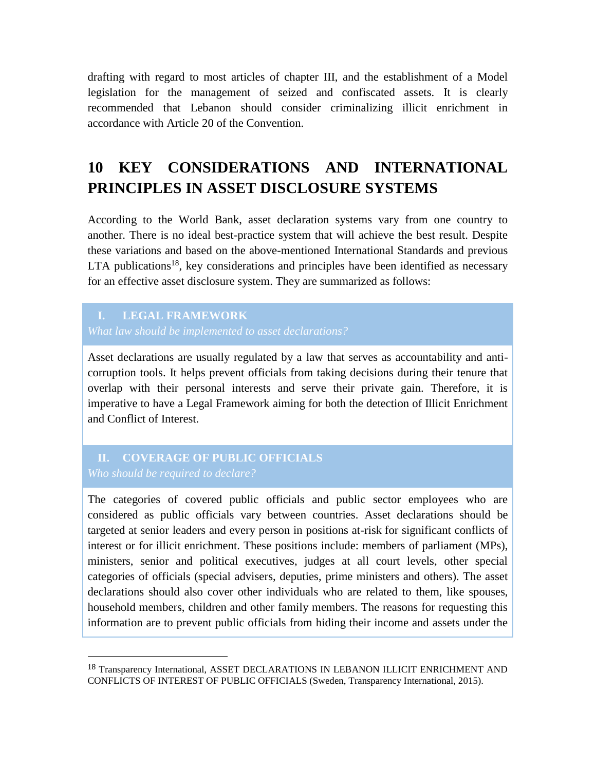drafting with regard to most articles of chapter III, and the establishment of a Model legislation for the management of seized and confiscated assets. It is clearly recommended that Lebanon should consider criminalizing illicit enrichment in accordance with Article 20 of the Convention.

# **10 KEY CONSIDERATIONS AND INTERNATIONAL PRINCIPLES IN ASSET DISCLOSURE SYSTEMS**

According to the World Bank, asset declaration systems vary from one country to another. There is no ideal best-practice system that will achieve the best result. Despite these variations and based on the above-mentioned International Standards and previous LTA publications<sup>18</sup>, key considerations and principles have been identified as necessary for an effective asset disclosure system. They are summarized as follows:

#### **I. LEGAL FRAMEWORK**

 $\overline{a}$ 

Asset declarations are usually regulated by a law that serves as accountability and anticorruption tools. It helps prevent officials from taking decisions during their tenure that overlap with their personal interests and serve their private gain. Therefore, it is imperative to have a Legal Framework aiming for both the detection of Illicit Enrichment and Conflict of Interest.

# **II. COVERAGE OF PUBLIC OFFICIALS**

The categories of covered public officials and public sector employees who are considered as public officials vary between countries. Asset declarations should be targeted at senior leaders and every person in positions at-risk for significant conflicts of interest or for illicit enrichment. These positions include: members of parliament (MPs), ministers, senior and political executives, judges at all court levels, other special categories of officials (special advisers, deputies, prime ministers and others). The asset declarations should also cover other individuals who are related to them, like spouses, household members, children and other family members. The reasons for requesting this information are to prevent public officials from hiding their income and assets under the

<sup>18</sup> Transparency International, ASSET DECLARATIONS IN LEBANON ILLICIT ENRICHMENT AND CONFLICTS OF INTEREST OF PUBLIC OFFICIALS (Sweden, Transparency International, 2015).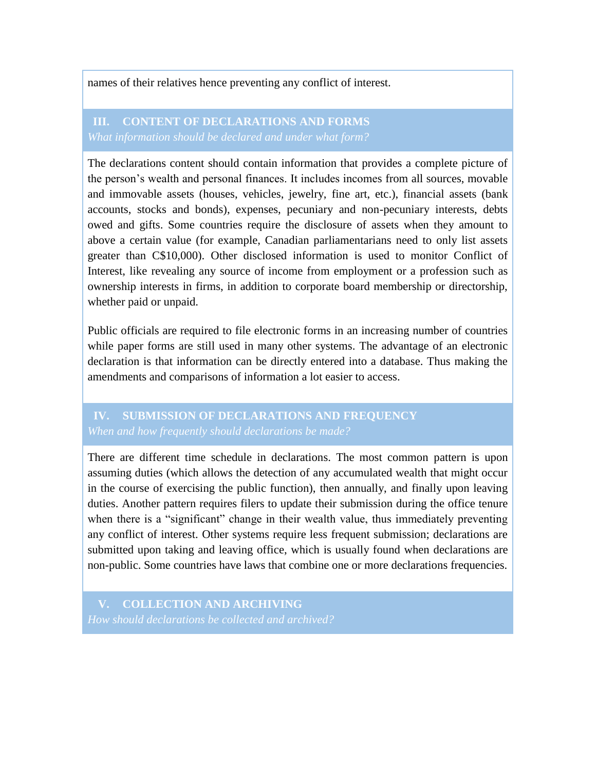names of their relatives hence preventing any conflict of interest.

# **III. CONTENT OF DECLARATIONS AND FORMS**

The declarations content should contain information that provides a complete picture of the person's wealth and personal finances. It includes incomes from all sources, movable and immovable assets (houses, vehicles, jewelry, fine art, etc.), financial assets (bank accounts, stocks and bonds), expenses, pecuniary and non-pecuniary interests, debts owed and gifts. Some countries require the disclosure of assets when they amount to above a certain value (for example, Canadian parliamentarians need to only list assets greater than C\$10,000). Other disclosed information is used to monitor Conflict of Interest, like revealing any source of income from employment or a profession such as ownership interests in firms, in addition to corporate board membership or directorship, whether paid or unpaid.

Public officials are required to file electronic forms in an increasing number of countries while paper forms are still used in many other systems. The advantage of an electronic declaration is that information can be directly entered into a database. Thus making the amendments and comparisons of information a lot easier to access.

# **IV. SUBMISSION OF DECLARATIONS AND FREQUENCY**

There are different time schedule in declarations. The most common pattern is upon assuming duties (which allows the detection of any accumulated wealth that might occur in the course of exercising the public function), then annually, and finally upon leaving duties. Another pattern requires filers to update their submission during the office tenure when there is a "significant" change in their wealth value, thus immediately preventing any conflict of interest. Other systems require less frequent submission; declarations are submitted upon taking and leaving office, which is usually found when declarations are non-public. Some countries have laws that combine one or more declarations frequencies.

**V. COLLECTION AND ARCHIVING**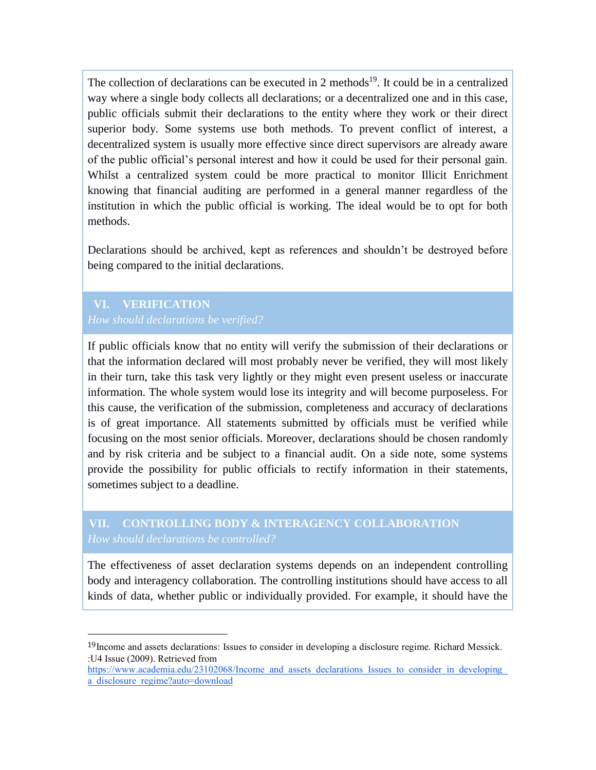The collection of declarations can be executed in 2 methods<sup>19</sup>. It could be in a centralized way where a single body collects all declarations; or a decentralized one and in this case, public officials submit their declarations to the entity where they work or their direct superior body. Some systems use both methods. To prevent conflict of interest, a decentralized system is usually more effective since direct supervisors are already aware of the public official's personal interest and how it could be used for their personal gain. Whilst a centralized system could be more practical to monitor Illicit Enrichment knowing that financial auditing are performed in a general manner regardless of the institution in which the public official is working. The ideal would be to opt for both methods.

Declarations should be archived, kept as references and shouldn't be destroyed before being compared to the initial declarations.

# **VI. VERIFICATION**

 $\overline{a}$ 

If public officials know that no entity will verify the submission of their declarations or that the information declared will most probably never be verified, they will most likely in their turn, take this task very lightly or they might even present useless or inaccurate information. The whole system would lose its integrity and will become purposeless. For this cause, the verification of the submission, completeness and accuracy of declarations is of great importance. All statements submitted by officials must be verified while focusing on the most senior officials. Moreover, declarations should be chosen randomly and by risk criteria and be subject to a financial audit. On a side note, some systems provide the possibility for public officials to rectify information in their statements, sometimes subject to a deadline.

#### **VII. CONTROLLING BODY & INTERAGENCY COLLABORATION** *How should declarations be controlled?*

The effectiveness of asset declaration systems depends on an independent controlling body and interagency collaboration. The controlling institutions should have access to all kinds of data, whether public or individually provided. For example, it should have the

<sup>19</sup>Income and assets declarations: Issues to consider in developing a disclosure regime. Richard Messick. :U4 Issue (2009). Retrieved from

[https://www.academia.edu/23102068/Income\\_and\\_assets\\_declarations\\_Issues\\_to\\_consider\\_in\\_developing\\_](https://www.academia.edu/23102068/Income_and_assets_declarations_Issues_to_consider_in_developing_a_disclosure_regime?auto=download) a disclosure regime?auto=download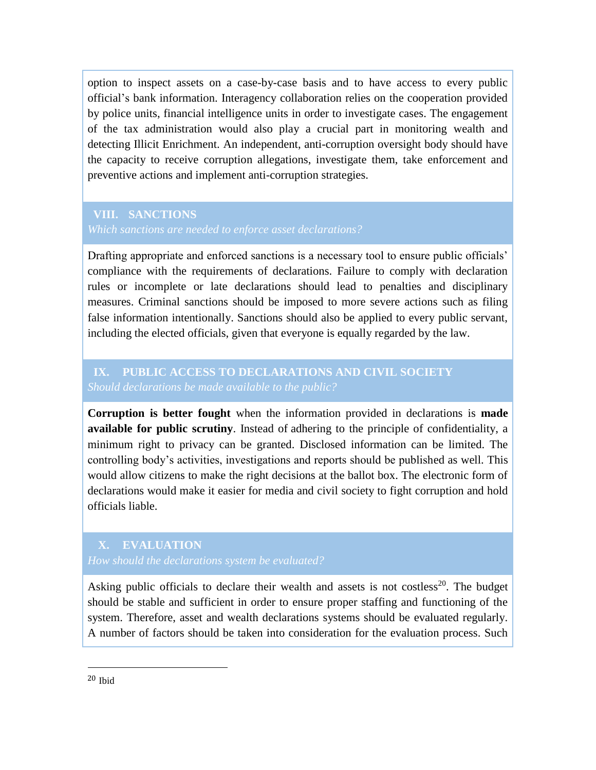option to inspect assets on a case-by-case basis and to have access to every public official's bank information. Interagency collaboration relies on the cooperation provided by police units, financial intelligence units in order to investigate cases. The engagement of the tax administration would also play a crucial part in monitoring wealth and detecting Illicit Enrichment. An independent, anti-corruption oversight body should have the capacity to receive corruption allegations, investigate them, take enforcement and preventive actions and implement anti-corruption strategies.

#### **VIII. SANCTIONS**

Drafting appropriate and enforced sanctions is a necessary tool to ensure public officials' compliance with the requirements of declarations. Failure to comply with declaration rules or incomplete or late declarations should lead to penalties and disciplinary measures. Criminal sanctions should be imposed to more severe actions such as filing false information intentionally. Sanctions should also be applied to every public servant, including the elected officials, given that everyone is equally regarded by the law.

#### **IX. PUBLIC ACCESS TO DECLARATIONS AND CIVIL SOCIETY** *Should declarations be made available to the public?*

**Corruption is better fought** when the information provided in declarations is **made available for public scrutiny**. Instead of adhering to the principle of confidentiality, a minimum right to privacy can be granted. Disclosed information can be limited. The controlling body's activities, investigations and reports should be published as well. This would allow citizens to make the right decisions at the ballot box. The electronic form of declarations would make it easier for media and civil society to fight corruption and hold officials liable.

#### **X. EVALUATION**

Asking public officials to declare their wealth and assets is not costless<sup>20</sup>. The budget should be stable and sufficient in order to ensure proper staffing and functioning of the system. Therefore, asset and wealth declarations systems should be evaluated regularly. A number of factors should be taken into consideration for the evaluation process. Such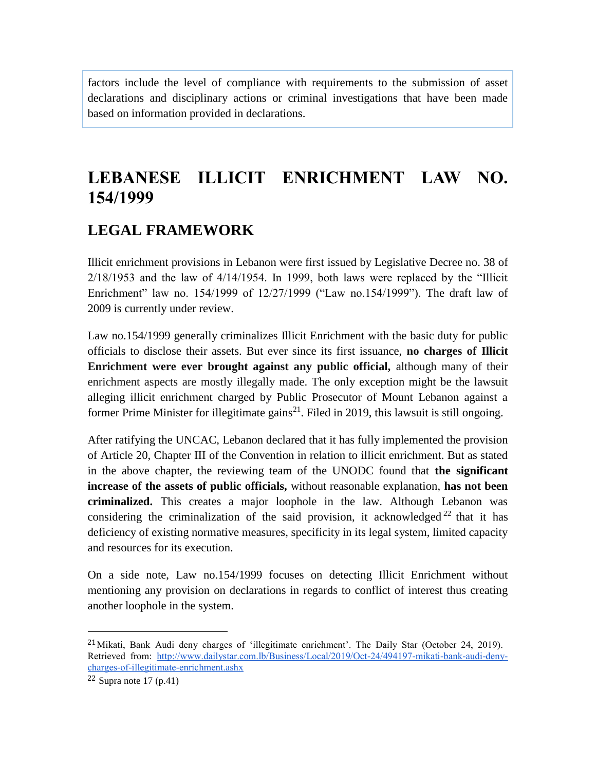factors include the level of compliance with requirements to the submission of asset declarations and disciplinary actions or criminal investigations that have been made based on information provided in declarations.

# **LEBANESE ILLICIT ENRICHMENT LAW NO. 154/1999**

## **LEGAL FRAMEWORK**

Illicit enrichment provisions in Lebanon were first issued by Legislative Decree no. 38 of 2/18/1953 and the law of 4/14/1954. In 1999, both laws were replaced by the "Illicit Enrichment" law no. 154/1999 of 12/27/1999 ("Law no.154/1999"). The draft law of 2009 is currently under review.

Law no.154/1999 generally criminalizes Illicit Enrichment with the basic duty for public officials to disclose their assets. But ever since its first issuance, **no charges of Illicit Enrichment were ever brought against any public official,** although many of their enrichment aspects are mostly illegally made. The only exception might be the lawsuit alleging illicit enrichment charged by Public Prosecutor of Mount Lebanon against a former Prime Minister for illegitimate gains<sup>21</sup>. Filed in 2019, this lawsuit is still ongoing.

After ratifying the UNCAC, Lebanon declared that it has fully implemented the provision of Article 20, Chapter III of the Convention in relation to illicit enrichment. But as stated in the above chapter, the reviewing team of the UNODC found that **the significant increase of the assets of public officials,** without reasonable explanation, **has not been criminalized.** This creates a major loophole in the law. Although Lebanon was considering the criminalization of the said provision, it acknowledged  $22$  that it has deficiency of existing normative measures, specificity in its legal system, limited capacity and resources for its execution.

On a side note, Law no.154/1999 focuses on detecting Illicit Enrichment without mentioning any provision on declarations in regards to conflict of interest thus creating another loophole in the system.

 $21$ Mikati, Bank Audi deny charges of 'illegitimate enrichment'. The Daily Star (October 24, 2019). Retrieved from: [http://www.dailystar.com.lb/Business/Local/2019/Oct-24/494197-mikati-bank-audi-deny](http://www.dailystar.com.lb/Business/Local/2019/Oct-24/494197-mikati-bank-audi-deny-charges-of-illegitimate-enrichment.ashx)[charges-of-illegitimate-enrichment.ashx](http://www.dailystar.com.lb/Business/Local/2019/Oct-24/494197-mikati-bank-audi-deny-charges-of-illegitimate-enrichment.ashx)

 $22$  Supra note 17 (p.41)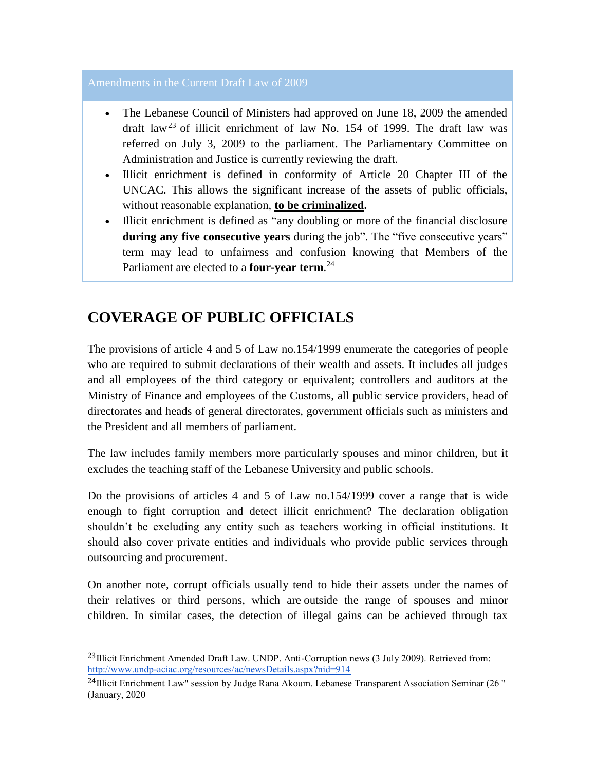#### Amendments in the Current Draft Law of 2009

- The Lebanese Council of Ministers had approved on June 18, 2009 the amended draft law<sup>23</sup> of illicit enrichment of law No. 154 of 1999. The draft law was referred on July 3, 2009 to the parliament. The Parliamentary Committee on Administration and Justice is currently reviewing the draft.
- Illicit enrichment is defined in conformity of Article 20 Chapter III of the UNCAC. This allows the significant increase of the assets of public officials, without reasonable explanation, **to be criminalized.**
- Illicit enrichment is defined as "any doubling or more of the financial disclosure **during any five consecutive years** during the job". The "five consecutive years" term may lead to unfairness and confusion knowing that Members of the Parliament are elected to a **four-year term**. 24

# **COVERAGE OF PUBLIC OFFICIALS**

l

The provisions of article 4 and 5 of Law no.154/1999 enumerate the categories of people who are required to submit declarations of their wealth and assets. It includes all judges and all employees of the third category or equivalent; controllers and auditors at the Ministry of Finance and employees of the Customs, all public service providers, head of directorates and heads of general directorates, government officials such as ministers and the President and all members of parliament.

The law includes family members more particularly spouses and minor children, but it excludes the teaching staff of the Lebanese University and public schools.

Do the provisions of articles 4 and 5 of Law no.154/1999 cover a range that is wide enough to fight corruption and detect illicit enrichment? The declaration obligation shouldn't be excluding any entity such as teachers working in official institutions. It should also cover private entities and individuals who provide public services through outsourcing and procurement.

On another note, corrupt officials usually tend to hide their assets under the names of their relatives or third persons, which are outside the range of spouses and minor children. In similar cases, the detection of illegal gains can be achieved through tax

<sup>&</sup>lt;sup>23</sup>Illicit Enrichment Amended Draft Law. UNDP. Anti-Corruption news (3 July 2009). Retrieved from: <http://www.undp-aciac.org/resources/ac/newsDetails.aspx?nid=914>

<sup>24</sup>Illicit Enrichment Law" session by Judge Rana Akoum. Lebanese Transparent Association Seminar (26 " (January, 2020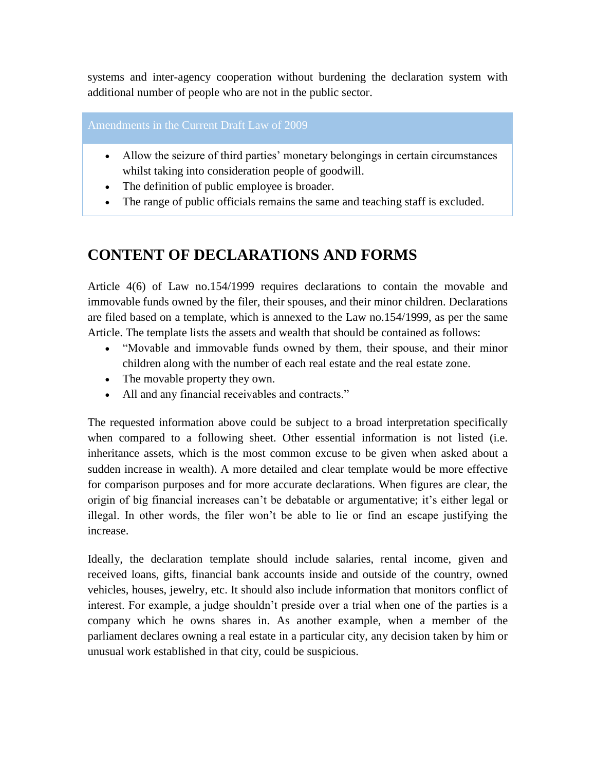systems and inter-agency cooperation without burdening the declaration system with additional number of people who are not in the public sector.

Amendments in the Current Draft Law of 2009

- Allow the seizure of third parties' monetary belongings in certain circumstances whilst taking into consideration people of goodwill.
- The definition of public employee is broader.
- The range of public officials remains the same and teaching staff is excluded.

# **CONTENT OF DECLARATIONS AND FORMS**

Article 4(6) of Law no.154/1999 requires declarations to contain the movable and immovable funds owned by the filer, their spouses, and their minor children. Declarations are filed based on a template, which is annexed to the Law no.154/1999, as per the same Article. The template lists the assets and wealth that should be contained as follows:

- "Movable and immovable funds owned by them, their spouse, and their minor children along with the number of each real estate and the real estate zone.
- The movable property they own.
- All and any financial receivables and contracts."

The requested information above could be subject to a broad interpretation specifically when compared to a following sheet. Other essential information is not listed (i.e. inheritance assets, which is the most common excuse to be given when asked about a sudden increase in wealth). A more detailed and clear template would be more effective for comparison purposes and for more accurate declarations. When figures are clear, the origin of big financial increases can't be debatable or argumentative; it's either legal or illegal. In other words, the filer won't be able to lie or find an escape justifying the increase.

Ideally, the declaration template should include salaries, rental income, given and received loans, gifts, financial bank accounts inside and outside of the country, owned vehicles, houses, jewelry, etc. It should also include information that monitors conflict of interest. For example, a judge shouldn't preside over a trial when one of the parties is a company which he owns shares in. As another example, when a member of the parliament declares owning a real estate in a particular city, any decision taken by him or unusual work established in that city, could be suspicious.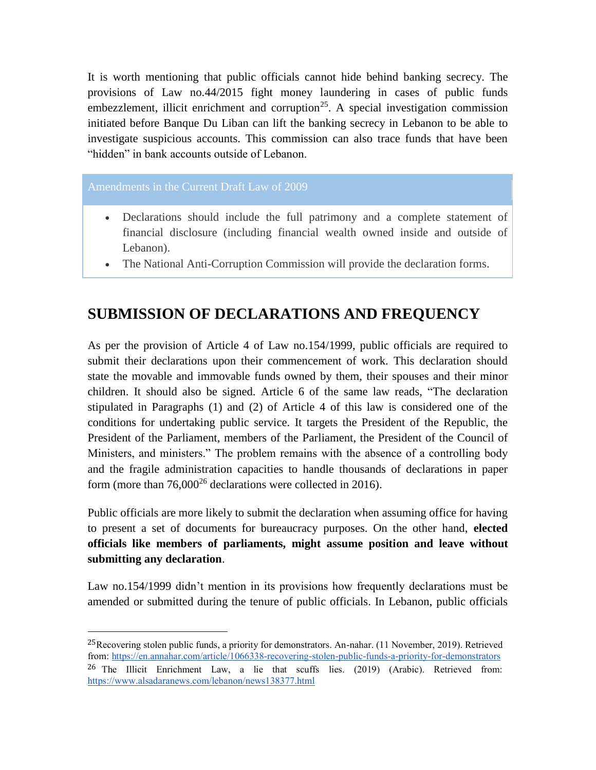It is worth mentioning that public officials cannot hide behind banking secrecy. The provisions of Law no.44/2015 fight money laundering in cases of public funds embezzlement, illicit enrichment and corruption<sup>25</sup>. A special investigation commission initiated before Banque Du Liban can lift the banking secrecy in Lebanon to be able to investigate suspicious accounts. This commission can also trace funds that have been "hidden" in bank accounts outside of Lebanon.

#### Amendments in the Current Draft Law of 2009

 $\overline{a}$ 

- Declarations should include the full patrimony and a complete statement of financial disclosure (including financial wealth owned inside and outside of Lebanon).
- The National Anti-Corruption Commission will provide the declaration forms.

## **SUBMISSION OF DECLARATIONS AND FREQUENCY**

As per the provision of Article 4 of Law no.154/1999, public officials are required to submit their declarations upon their commencement of work. This declaration should state the movable and immovable funds owned by them, their spouses and their minor children. It should also be signed. Article 6 of the same law reads, "The declaration stipulated in Paragraphs (1) and (2) of Article 4 of this law is considered one of the conditions for undertaking public service. It targets the President of the Republic, the President of the Parliament, members of the Parliament, the President of the Council of Ministers, and ministers." The problem remains with the absence of a controlling body and the fragile administration capacities to handle thousands of declarations in paper form (more than 76,000<sup>26</sup> declarations were collected in 2016).

Public officials are more likely to submit the declaration when assuming office for having to present a set of documents for bureaucracy purposes. On the other hand, **elected officials like members of parliaments, might assume position and leave without submitting any declaration**.

Law no.154/1999 didn't mention in its provisions how frequently declarations must be amended or submitted during the tenure of public officials. In Lebanon, public officials

<sup>&</sup>lt;sup>25</sup>Recovering stolen public funds, a priority for demonstrators. An-nahar. (11 November, 2019). Retrieved from[: https://en.annahar.com/article/1066338-recovering-stolen-public-funds-a-priority-for-demonstrators](https://en.annahar.com/article/1066338-recovering-stolen-public-funds-a-priority-for-demonstrators) 26 The Illicit Enrichment Law, a lie that scuffs lies. (2019) (Arabic). Retrieved from: <https://www.alsadaranews.com/lebanon/news138377.html>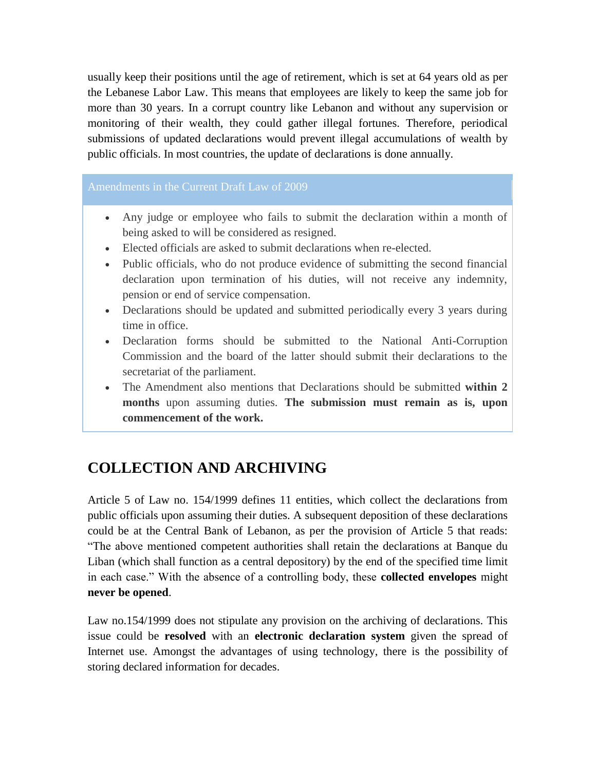usually keep their positions until the age of retirement, which is set at 64 years old as per the Lebanese Labor Law. This means that employees are likely to keep the same job for more than 30 years. In a corrupt country like Lebanon and without any supervision or monitoring of their wealth, they could gather illegal fortunes. Therefore, periodical submissions of updated declarations would prevent illegal accumulations of wealth by public officials. In most countries, the update of declarations is done annually.

#### Amendments in the Current Draft Law of 2009

- Any judge or employee who fails to submit the declaration within a month of being asked to will be considered as resigned.
- Elected officials are asked to submit declarations when re-elected.
- Public officials, who do not produce evidence of submitting the second financial declaration upon termination of his duties, will not receive any indemnity, pension or end of service compensation.
- Declarations should be updated and submitted periodically every 3 years during time in office.
- Declaration forms should be submitted to the National Anti-Corruption Commission and the board of the latter should submit their declarations to the secretariat of the parliament.
- The Amendment also mentions that Declarations should be submitted **within 2 months** upon assuming duties. **The submission must remain as is, upon commencement of the work.**

# **COLLECTION AND ARCHIVING**

Article 5 of Law no. 154/1999 defines 11 entities, which collect the declarations from public officials upon assuming their duties. A subsequent deposition of these declarations could be at the Central Bank of Lebanon, as per the provision of Article 5 that reads: "The above mentioned competent authorities shall retain the declarations at Banque du Liban (which shall function as a central depository) by the end of the specified time limit in each case." With the absence of a controlling body, these **collected envelopes** might **never be opened**.

Law no.154/1999 does not stipulate any provision on the archiving of declarations. This issue could be **resolved** with an **electronic declaration system** given the spread of Internet use. Amongst the advantages of using technology, there is the possibility of storing declared information for decades.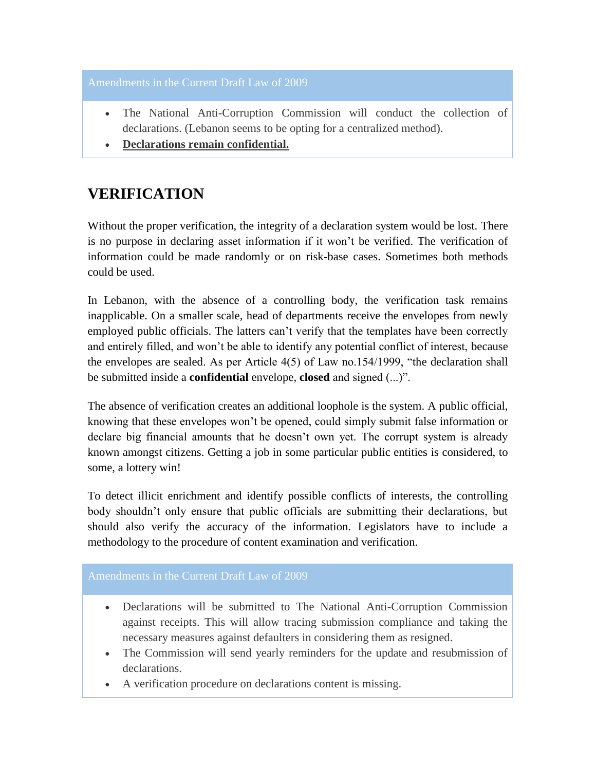#### Amendments in the Current Draft Law of 2009

- The National Anti-Corruption Commission will conduct the collection of declarations. (Lebanon seems to be opting for a centralized method).
- **Declarations remain confidential.**

## **VERIFICATION**

Without the proper verification, the integrity of a declaration system would be lost. There is no purpose in declaring asset information if it won't be verified. The verification of information could be made randomly or on risk-base cases. Sometimes both methods could be used.

In Lebanon, with the absence of a controlling body, the verification task remains inapplicable. On a smaller scale, head of departments receive the envelopes from newly employed public officials. The latters can't verify that the templates have been correctly and entirely filled, and won't be able to identify any potential conflict of interest, because the envelopes are sealed. As per Article 4(5) of Law no.154/1999, "the declaration shall be submitted inside a **confidential** envelope, **closed** and signed (...)".

The absence of verification creates an additional loophole is the system. A public official, knowing that these envelopes won't be opened, could simply submit false information or declare big financial amounts that he doesn't own yet. The corrupt system is already known amongst citizens. Getting a job in some particular public entities is considered, to some, a lottery win!

To detect illicit enrichment and identify possible conflicts of interests, the controlling body shouldn't only ensure that public officials are submitting their declarations, but should also verify the accuracy of the information. Legislators have to include a methodology to the procedure of content examination and verification.

#### Amendments in the Current Draft Law of 2009

- Declarations will be submitted to The National Anti-Corruption Commission against receipts. This will allow tracing submission compliance and taking the necessary measures against defaulters in considering them as resigned.
- The Commission will send yearly reminders for the update and resubmission of declarations.
- A verification procedure on declarations content is missing.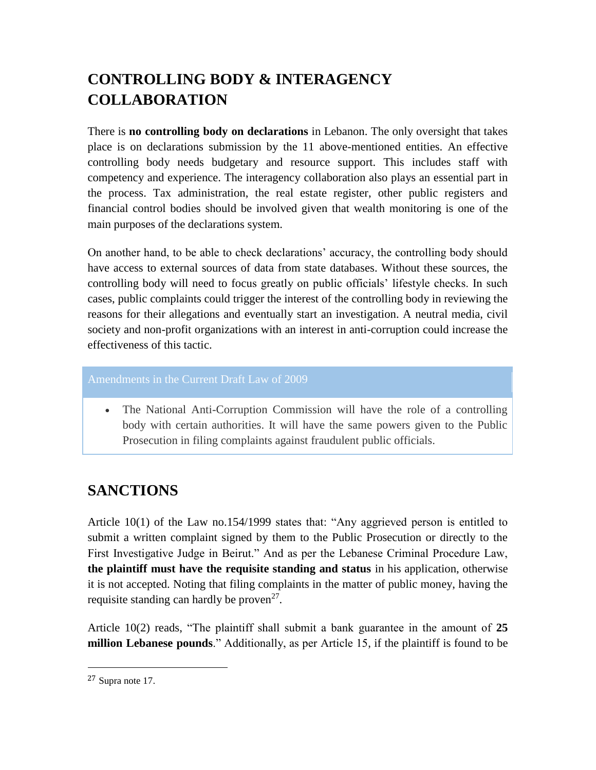# **CONTROLLING BODY & INTERAGENCY COLLABORATION**

There is **no controlling body on declarations** in Lebanon. The only oversight that takes place is on declarations submission by the 11 above-mentioned entities. An effective controlling body needs budgetary and resource support. This includes staff with competency and experience. The interagency collaboration also plays an essential part in the process. Tax administration, the real estate register, other public registers and financial control bodies should be involved given that wealth monitoring is one of the main purposes of the declarations system.

On another hand, to be able to check declarations' accuracy, the controlling body should have access to external sources of data from state databases. Without these sources, the controlling body will need to focus greatly on public officials' lifestyle checks. In such cases, public complaints could trigger the interest of the controlling body in reviewing the reasons for their allegations and eventually start an investigation. A neutral media, civil society and non-profit organizations with an interest in anti-corruption could increase the effectiveness of this tactic.

#### Amendments in the Current Draft Law of 2009

• The National Anti-Corruption Commission will have the role of a controlling body with certain authorities. It will have the same powers given to the Public Prosecution in filing complaints against fraudulent public officials.

# **SANCTIONS**

Article 10(1) of the Law no.154/1999 states that: "Any aggrieved person is entitled to submit a written complaint signed by them to the Public Prosecution or directly to the First Investigative Judge in Beirut." And as per the Lebanese Criminal Procedure Law, **the plaintiff must have the requisite standing and status** in his application, otherwise it is not accepted. Noting that filing complaints in the matter of public money, having the requisite standing can hardly be proven<sup>27</sup>.

Article 10(2) reads, "The plaintiff shall submit a bank guarantee in the amount of **25 million Lebanese pounds**." Additionally, as per Article 15, if the plaintiff is found to be

<sup>27</sup> Supra note 17.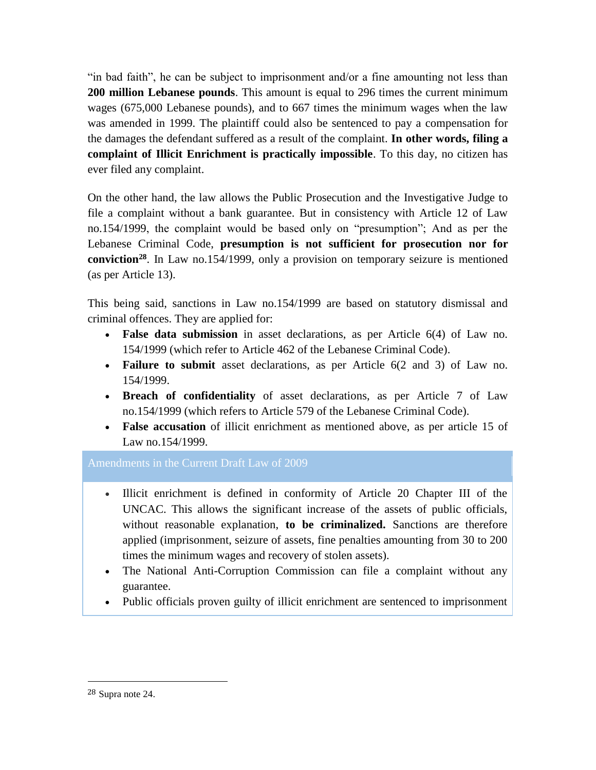"in bad faith", he can be subject to imprisonment and/or a fine amounting not less than **200 million Lebanese pounds**. This amount is equal to 296 times the current minimum wages (675,000 Lebanese pounds), and to 667 times the minimum wages when the law was amended in 1999. The plaintiff could also be sentenced to pay a compensation for the damages the defendant suffered as a result of the complaint. **In other words, filing a complaint of Illicit Enrichment is practically impossible**. To this day, no citizen has ever filed any complaint.

On the other hand, the law allows the Public Prosecution and the Investigative Judge to file a complaint without a bank guarantee. But in consistency with Article 12 of Law no.154/1999, the complaint would be based only on "presumption"; And as per the Lebanese Criminal Code, **presumption is not sufficient for prosecution nor for conviction<sup>28</sup>** . In Law no.154/1999, only a provision on temporary seizure is mentioned (as per Article 13).

This being said, sanctions in Law no.154/1999 are based on statutory dismissal and criminal offences. They are applied for:

- **False data submission** in asset declarations, as per Article 6(4) of Law no. 154/1999 (which refer to Article 462 of the Lebanese Criminal Code).
- **Failure to submit** asset declarations, as per Article 6(2 and 3) of Law no. 154/1999.
- **Breach of confidentiality** of asset declarations, as per Article 7 of Law no.154/1999 (which refers to Article 579 of the Lebanese Criminal Code).
- **False accusation** of illicit enrichment as mentioned above, as per article 15 of Law no.154/1999.

Amendments in the Current Draft Law of 2009

- Illicit enrichment is defined in conformity of Article 20 Chapter III of the UNCAC. This allows the significant increase of the assets of public officials, without reasonable explanation, **to be criminalized.** Sanctions are therefore applied (imprisonment, seizure of assets, fine penalties amounting from 30 to 200 times the minimum wages and recovery of stolen assets).
- The National Anti-Corruption Commission can file a complaint without any guarantee.
- Public officials proven guilty of illicit enrichment are sentenced to imprisonment

<sup>28</sup> Supra note 24.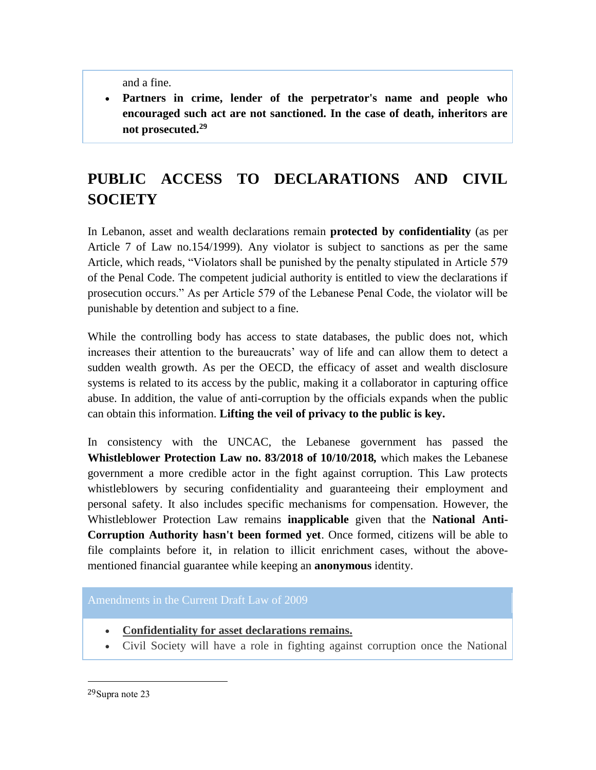and a fine.

 **Partners in crime, lender of the perpetrator's name and people who encouraged such act are not sanctioned. In the case of death, inheritors are not prosecuted.<sup>29</sup>**

# **PUBLIC ACCESS TO DECLARATIONS AND CIVIL SOCIETY**

In Lebanon, asset and wealth declarations remain **protected by confidentiality** (as per Article 7 of Law no.154/1999). Any violator is subject to sanctions as per the same Article, which reads, "Violators shall be punished by the penalty stipulated in Article 579 of the Penal Code. The competent judicial authority is entitled to view the declarations if prosecution occurs." As per Article 579 of the Lebanese Penal Code, the violator will be punishable by detention and subject to a fine.

While the controlling body has access to state databases, the public does not, which increases their attention to the bureaucrats' way of life and can allow them to detect a sudden wealth growth. As per the OECD, the efficacy of asset and wealth disclosure systems is related to its access by the public, making it a collaborator in capturing office abuse. In addition, the value of anti-corruption by the officials expands when the public can obtain this information. **Lifting the veil of privacy to the public is key.**

In consistency with the UNCAC, the Lebanese government has passed the **Whistleblower Protection Law no. 83/2018 of 10/10/2018***,* which makes the Lebanese government a more credible actor in the fight against corruption. This Law protects whistleblowers by securing confidentiality and guaranteeing their employment and personal safety. It also includes specific mechanisms for compensation. However, the Whistleblower Protection Law remains **inapplicable** given that the **National Anti-Corruption Authority hasn't been formed yet**. Once formed, citizens will be able to file complaints before it, in relation to illicit enrichment cases, without the abovementioned financial guarantee while keeping an **anonymous** identity.

#### Amendments in the Current Draft Law of 2009

- **Confidentiality for asset declarations remains.**
- Civil Society will have a role in fighting against corruption once the National

<sup>29</sup>Supra note 23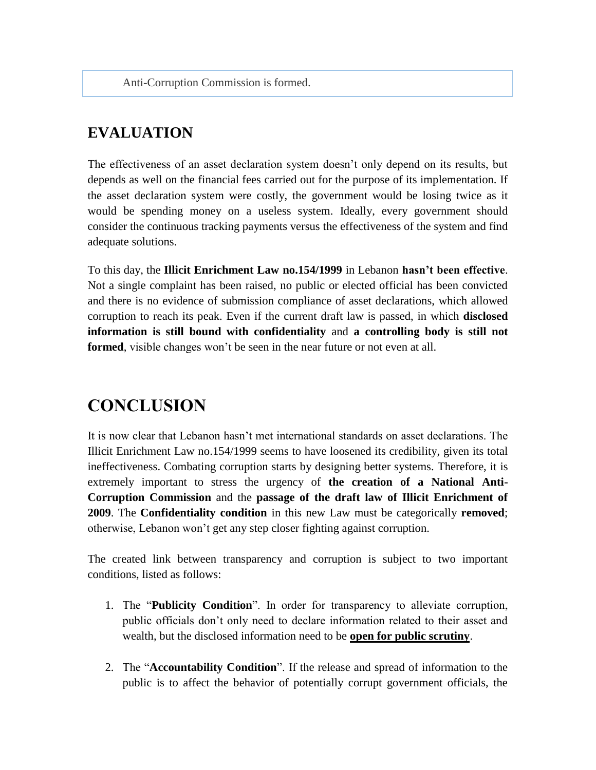Anti-Corruption Commission is formed.

# **EVALUATION**

The effectiveness of an asset declaration system doesn't only depend on its results, but depends as well on the financial fees carried out for the purpose of its implementation. If the asset declaration system were costly, the government would be losing twice as it would be spending money on a useless system. Ideally, every government should consider the continuous tracking payments versus the effectiveness of the system and find adequate solutions.

To this day, the **Illicit Enrichment Law no.154/1999** in Lebanon **hasn't been effective**. Not a single complaint has been raised, no public or elected official has been convicted and there is no evidence of submission compliance of asset declarations, which allowed corruption to reach its peak. Even if the current draft law is passed, in which **disclosed information is still bound with confidentiality** and **a controlling body is still not formed**, visible changes won't be seen in the near future or not even at all.

# **CONCLUSION**

It is now clear that Lebanon hasn't met international standards on asset declarations. The Illicit Enrichment Law no.154/1999 seems to have loosened its credibility, given its total ineffectiveness. Combating corruption starts by designing better systems. Therefore, it is extremely important to stress the urgency of **the creation of a National Anti-Corruption Commission** and the **passage of the draft law of Illicit Enrichment of 2009**. The **Confidentiality condition** in this new Law must be categorically **removed**; otherwise, Lebanon won't get any step closer fighting against corruption.

The created link between transparency and corruption is subject to two important conditions, listed as follows:

- 1. The "**Publicity Condition**". In order for transparency to alleviate corruption, public officials don't only need to declare information related to their asset and wealth, but the disclosed information need to be **open for public scrutiny**.
- 2. The "**Accountability Condition**". If the release and spread of information to the public is to affect the behavior of potentially corrupt government officials, the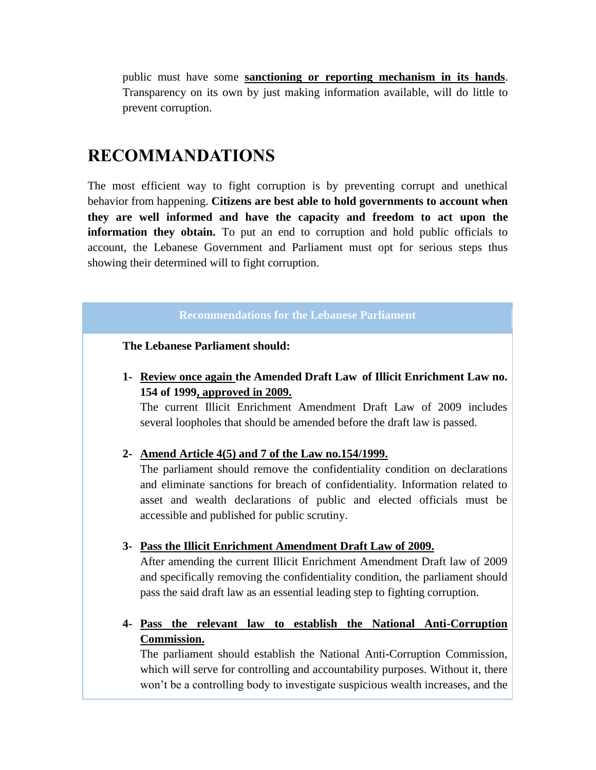public must have some **sanctioning or reporting mechanism in its hands**. Transparency on its own by just making information available, will do little to prevent corruption.

# **RECOMMANDATIONS**

The most efficient way to fight corruption is by preventing corrupt and unethical behavior from happening. **Citizens are best able to hold governments to account when they are well informed and have the capacity and freedom to act upon the information they obtain.** To put an end to corruption and hold public officials to account, the Lebanese Government and Parliament must opt for serious steps thus showing their determined will to fight corruption.

#### **Recommendations for the Lebanese Parliament**

**The Lebanese Parliament should:**

**1- Review once again the Amended Draft Law of Illicit Enrichment Law no. 154 of 1999, approved in 2009.**

The current Illicit Enrichment Amendment Draft Law of 2009 includes several loopholes that should be amended before the draft law is passed.

#### **2- Amend Article 4(5) and 7 of the Law no.154/1999.**

The parliament should remove the confidentiality condition on declarations and eliminate sanctions for breach of confidentiality. Information related to asset and wealth declarations of public and elected officials must be accessible and published for public scrutiny.

#### **3- Pass the Illicit Enrichment Amendment Draft Law of 2009.**

After amending the current Illicit Enrichment Amendment Draft law of 2009 and specifically removing the confidentiality condition, the parliament should pass the said draft law as an essential leading step to fighting corruption.

#### **4- Pass the relevant law to establish the National Anti-Corruption Commission.**

The parliament should establish the National Anti-Corruption Commission, which will serve for controlling and accountability purposes. Without it, there won't be a controlling body to investigate suspicious wealth increases, and the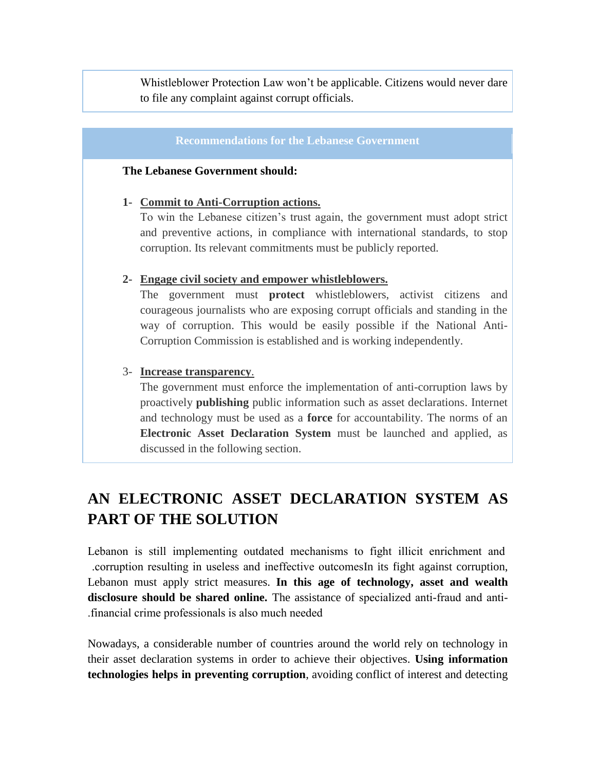Whistleblower Protection Law won't be applicable. Citizens would never dare to file any complaint against corrupt officials.

#### **Recommendations for the Lebanese Government**

#### **The Lebanese Government should:**

#### **1- Commit to Anti-Corruption actions.**

To win the Lebanese citizen's trust again, the government must adopt strict and preventive actions, in compliance with international standards, to stop corruption. Its relevant commitments must be publicly reported.

#### **2- Engage civil society and empower whistleblowers.**

The government must **protect** whistleblowers, activist citizens and courageous journalists who are exposing corrupt officials and standing in the way of corruption. This would be easily possible if the National Anti-Corruption Commission is established and is working independently.

#### 3- **Increase transparency**.

The government must enforce the implementation of anti-corruption laws by proactively **publishing** public information such as asset declarations. Internet and technology must be used as a **force** for accountability. The norms of an **Electronic Asset Declaration System** must be launched and applied, as discussed in the following section.

# **AN ELECTRONIC ASSET DECLARATION SYSTEM AS PART OF THE SOLUTION**

Lebanon is still implementing outdated mechanisms to fight illicit enrichment and .corruption resulting in useless and ineffective outcomesIn its fight against corruption, Lebanon must apply strict measures. **In this age of technology, asset and wealth disclosure should be shared online.** The assistance of specialized anti-fraud and anti- .financial crime professionals is also much needed

Nowadays, a considerable number of countries around the world rely on technology in their asset declaration systems in order to achieve their objectives. **Using information technologies helps in preventing corruption**, avoiding conflict of interest and detecting